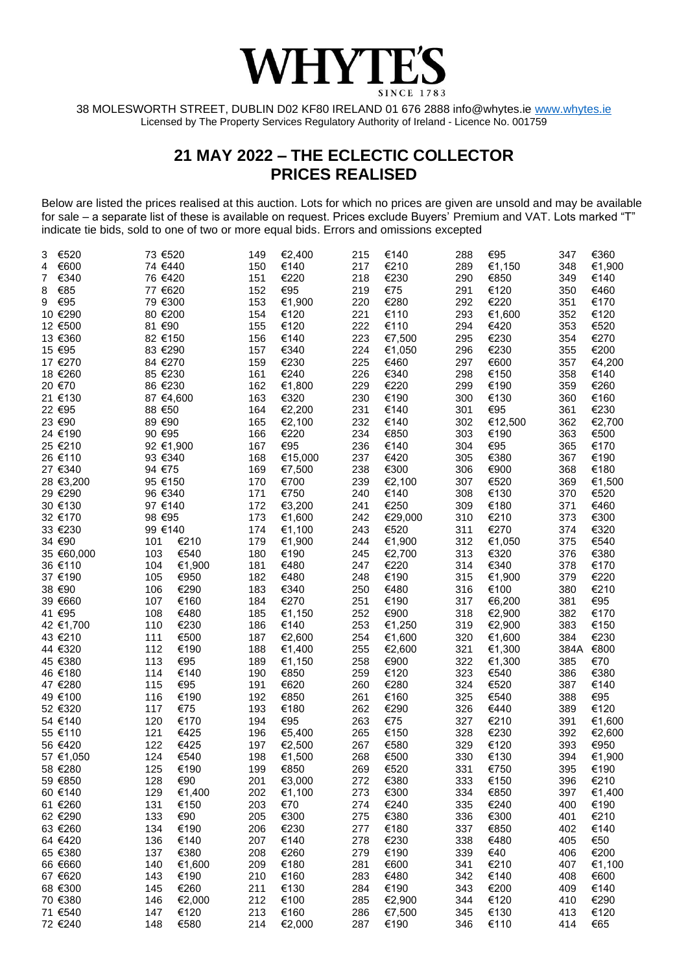

38 MOLESWORTH STREET, DUBLIN D02 KF80 IRELAND 01 676 2888 info@whytes.ie [www.whytes.ie](http://www.whytes.ie/) Licensed by The Property Services Regulatory Authority of Ireland - Licence No. 001759

## **MAY 2022 – THE ECLECTIC COLLECTOR PRICES REALISED**

Below are listed the prices realised at this auction. Lots for which no prices are given are unsold and may be available for sale – a separate list of these is available on request. Prices exclude Buyers' Premium and VAT. Lots marked "T" indicate tie bids, sold to one of two or more equal bids. Errors and omissions excepted

| 3 | €520       | 73 €520   |        | 149 | €2,400  | 215 | €140    | 288 | €95          | 347  | €360   |
|---|------------|-----------|--------|-----|---------|-----|---------|-----|--------------|------|--------|
| 4 | €600       | 74 €440   |        | 150 | €140    | 217 | €210    | 289 | €1,150       | 348  | €1,900 |
| 7 | €340       | 76 €420   |        | 151 | €220    | 218 | €230    | 290 | €850         | 349  | €140   |
| 8 | €85        | 77 €620   |        | 152 | €95     | 219 | €75     | 291 | €120         | 350  | €460   |
| 9 | €95        | 79 €300   |        | 153 | €1,900  | 220 | €280    | 292 | €220         | 351  | €170   |
|   | 10 €290    | 80 €200   |        | 154 | €120    | 221 | €110    | 293 | €1,600       | 352  | €120   |
|   | 12 €500    | 81 €90    |        | 155 | €120    | 222 | €110    | 294 | €420         | 353  | €520   |
|   | 13 €360    | 82 €150   |        | 156 | €140    | 223 | €7,500  | 295 | €230         | 354  | €270   |
|   | 15 €95     | 83 €290   |        | 157 | €340    | 224 | €1,050  | 296 | €230         | 355  | €200   |
|   | 17 €270    | 84 €270   |        | 159 | €230    | 225 | €460    | 297 | €600         | 357  | €4,200 |
|   | 18 €260    | 85 €230   |        | 161 | €240    | 226 | €340    | 298 | €150         | 358  | €140   |
|   | 20 €70     | 86 €230   |        | 162 | €1,800  | 229 | €220    | 299 | €190         | 359  | €260   |
|   | 21 €130    | 87 €4,600 |        | 163 | €320    | 230 | €190    | 300 | €130         | 360  | €160   |
|   | 22 €95     | 88 €50    |        | 164 | €2,200  | 231 | €140    | 301 | €95          | 361  | €230   |
|   | 23 €90     | 89 €90    |        | 165 | €2,100  | 232 | €140    | 302 | €12,500      | 362  | €2,700 |
|   | 24 €190    | 90 €95    |        | 166 | €220    | 234 | €850    | 303 | €190         | 363  | €500   |
|   | 25 €210    | 92 €1,900 |        | 167 | €95     | 236 | €140    | 304 | €95          | 365  | €170   |
|   | 26 €110    | 93 €340   |        | 168 | €15,000 | 237 | €420    | 305 | €380         | 367  | €190   |
|   | 27 €340    | 94 €75    |        | 169 | €7,500  | 238 | €300    | 306 | €900         | 368  | €180   |
|   | 28 €3,200  | 95 €150   |        | 170 | €700    | 239 | €2,100  | 307 | €520         | 369  | €1,500 |
|   | 29 €290    | 96 €340   |        | 171 | €750    | 240 | €140    |     | €130         | 370  | €520   |
|   |            |           |        |     |         |     |         | 308 |              |      |        |
|   | 30 €130    | 97 €140   |        | 172 | €3,200  | 241 | €250    | 309 | €180         | 371  | €460   |
|   | 32 €170    | 98 €95    |        | 173 | €1,600  | 242 | €29,000 | 310 | €210<br>€270 | 373  | €300   |
|   | 33 €230    | 99 €140   |        | 174 | €1,100  | 243 | €520    | 311 |              | 374  | €320   |
|   | 34 €90     | 101       | €210   | 179 | €1,900  | 244 | €1,900  | 312 | €1,050       | 375  | €540   |
|   | 35 €60,000 | 103       | €540   | 180 | €190    | 245 | €2,700  | 313 | €320         | 376  | €380   |
|   | 36 €110    | 104       | €1,900 | 181 | €480    | 247 | €220    | 314 | €340         | 378  | €170   |
|   | 37 €190    | 105       | €950   | 182 | €480    | 248 | €190    | 315 | €1,900       | 379  | €220   |
|   | 38 €90     | 106       | €290   | 183 | €340    | 250 | €480    | 316 | €100         | 380  | €210   |
|   | 39 €660    | 107       | €160   | 184 | €270    | 251 | €190    | 317 | €6,200       | 381  | €95    |
|   | 41 €95     | 108       | €480   | 185 | €1,150  | 252 | €900    | 318 | €2,900       | 382  | €170   |
|   | 42 €1,700  | 110       | €230   | 186 | €140    | 253 | €1,250  | 319 | €2,900       | 383  | €150   |
|   | 43 €210    | 111       | €500   | 187 | €2,600  | 254 | €1,600  | 320 | €1,600       | 384  | €230   |
|   | 44 €320    | 112       | €190   | 188 | €1,400  | 255 | €2,600  | 321 | €1,300       | 384A | €800   |
|   | 45 €380    | 113       | €95    | 189 | €1,150  | 258 | €900    | 322 | €1,300       | 385  | €70    |
|   | 46 €180    | 114       | €140   | 190 | €850    | 259 | €120    | 323 | €540         | 386  | €380   |
|   | 47 €280    | 115       | €95    | 191 | €620    | 260 | €280    | 324 | €520         | 387  | €140   |
|   | 49 €100    | 116       | €190   | 192 | €850    | 261 | €160    | 325 | €540         | 388  | €95    |
|   | 52 €320    | 117       | €75    | 193 | €180    | 262 | €290    | 326 | €440         | 389  | €120   |
|   | 54 €140    | 120       | €170   | 194 | €95     | 263 | €75     | 327 | €210         | 391  | €1,600 |
|   | 55 €110    | 121       | €425   | 196 | €5,400  | 265 | €150    | 328 | €230         | 392  | €2,600 |
|   | 56 €420    | 122       | €425   | 197 | €2,500  | 267 | €580    | 329 | €120         | 393  | €950   |
|   | 57 €1.050  | 124       | €540   | 198 | €1,500  | 268 | €500    | 330 | €130         | 394  | €1,900 |
|   | 58 €280    | 125       | €190   | 199 | €850    | 269 | €520    | 331 | €750         | 395  | €190   |
|   | 59 €850    | 128       | €90    | 201 | €3,000  | 272 | €380    | 333 | €150         | 396  | €210   |
|   | 60 €140    | 129       | €1,400 | 202 | €1,100  | 273 | €300    | 334 | €850         | 397  | €1,400 |
|   | 61 €260    | 131       | €150   | 203 | €70     | 274 | €240    | 335 | €240         | 400  | €190   |
|   | 62 €290    | 133       | €90    | 205 | €300    | 275 | €380    | 336 | €300         | 401  | €210   |
|   | 63 €260    | 134       | €190   | 206 | €230    | 277 | €180    | 337 | €850         | 402  | €140   |
|   | 64 €420    | 136       | €140   | 207 | €140    | 278 | €230    | 338 | €480         | 405  | €50    |
|   | 65 €380    | 137       | €380   | 208 | €260    | 279 | €190    | 339 | €40          | 406  | €200   |
|   | 66 €660    | 140       | €1,600 | 209 | €180    | 281 | €600    | 341 | €210         | 407  | €1,100 |
|   | 67 €620    | 143       | €190   | 210 | €160    | 283 | €480    | 342 | €140         | 408  | €600   |
|   | 68 €300    | 145       | €260   | 211 | €130    | 284 | €190    | 343 | €200         | 409  | €140   |
|   | 70 €380    | 146       | €2,000 | 212 | €100    | 285 | €2,900  | 344 | €120         | 410  | €290   |
|   | 71 €540    | 147       | €120   | 213 | €160    | 286 | €7,500  | 345 | €130         | 413  | €120   |
|   | 72 €240    | 148       | €580   | 214 | €2,000  | 287 | €190    | 346 | €110         | 414  | €65    |
|   |            |           |        |     |         |     |         |     |              |      |        |